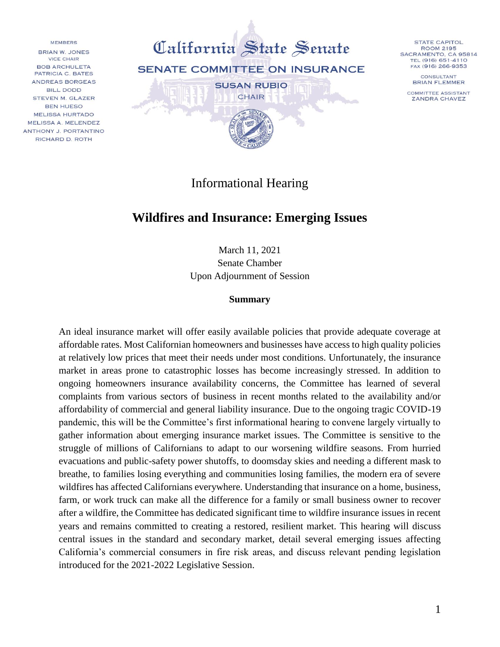**MEMBERS** BRIAN W. JONES VICE CHAIR **BOB ARCHULETA** PATRICIA C. BATES ANDREAS BORGEAS **BILL DODD** STEVEN M. GLAZER **BEN HUESO MELISSA HURTADO** MELISSA A. MELENDEZ ANTHONY J. PORTANTINO RICHARD D. ROTH



Informational Hearing

# **Wildfires and Insurance: Emerging Issues**

March 11, 2021 Senate Chamber Upon Adjournment of Session

#### **Summary**

An ideal insurance market will offer easily available policies that provide adequate coverage at affordable rates. Most Californian homeowners and businesses have access to high quality policies at relatively low prices that meet their needs under most conditions. Unfortunately, the insurance market in areas prone to catastrophic losses has become increasingly stressed. In addition to ongoing homeowners insurance availability concerns, the Committee has learned of several complaints from various sectors of business in recent months related to the availability and/or affordability of commercial and general liability insurance. Due to the ongoing tragic COVID-19 pandemic, this will be the Committee's first informational hearing to convene largely virtually to gather information about emerging insurance market issues. The Committee is sensitive to the struggle of millions of Californians to adapt to our worsening wildfire seasons. From hurried evacuations and public-safety power shutoffs, to doomsday skies and needing a different mask to breathe, to families losing everything and communities losing families, the modern era of severe wildfires has affected Californians everywhere. Understanding that insurance on a home, business, farm, or work truck can make all the difference for a family or small business owner to recover after a wildfire, the Committee has dedicated significant time to wildfire insurance issues in recent years and remains committed to creating a restored, resilient market. This hearing will discuss central issues in the standard and secondary market, detail several emerging issues affecting California's commercial consumers in fire risk areas, and discuss relevant pending legislation introduced for the 2021-2022 Legislative Session.

**STATE CAPITOL** 

**ROOM 2195** 

SACRAMENTO, CA 95814

TEL (916) 651-4110

FAX (916) 266-9353

CONSULTANT

**BRIAN FLEMMER** 

COMMITTEE ASSISTANT

**ZANDRA CHAVEZ**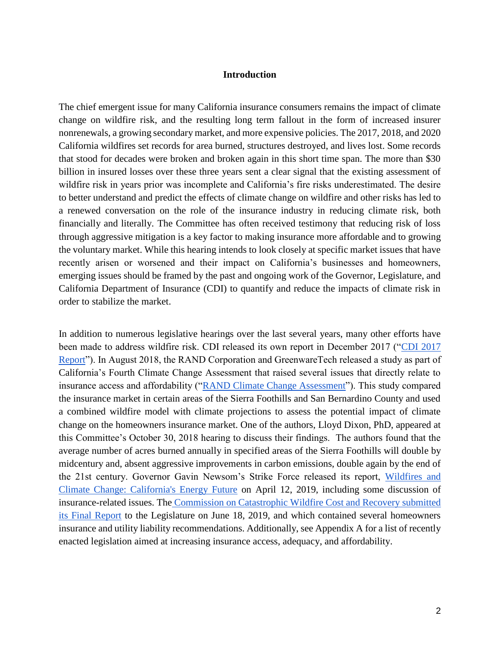#### **Introduction**

The chief emergent issue for many California insurance consumers remains the impact of climate change on wildfire risk, and the resulting long term fallout in the form of increased insurer nonrenewals, a growing secondary market, and more expensive policies. The 2017, 2018, and 2020 California wildfires set records for area burned, structures destroyed, and lives lost. Some records that stood for decades were broken and broken again in this short time span. The more than \$30 billion in insured losses over these three years sent a clear signal that the existing assessment of wildfire risk in years prior was incomplete and California's fire risks underestimated. The desire to better understand and predict the effects of climate change on wildfire and other risks has led to a renewed conversation on the role of the insurance industry in reducing climate risk, both financially and literally. The Committee has often received testimony that reducing risk of loss through aggressive mitigation is a key factor to making insurance more affordable and to growing the voluntary market. While this hearing intends to look closely at specific market issues that have recently arisen or worsened and their impact on California's businesses and homeowners, emerging issues should be framed by the past and ongoing work of the Governor, Legislature, and California Department of Insurance (CDI) to quantify and reduce the impacts of climate risk in order to stabilize the market.

In addition to numerous legislative hearings over the last several years, many other efforts have been made to address wildfire risk. CDI released its own report in December 2017 (["CDI 2017](http://www.insurance.ca.gov/0400-news/0100-press-releases/2018/upload/nr002-2018AvailabilityandAffordabilityofWildfireCoverage.pdf)  [Report"](http://www.insurance.ca.gov/0400-news/0100-press-releases/2018/upload/nr002-2018AvailabilityandAffordabilityofWildfireCoverage.pdf)). In August 2018, the RAND Corporation and GreenwareTech released a study as part of California's Fourth Climate Change Assessment that raised several issues that directly relate to insurance access and affordability (["RAND Climate Change](http://www.climateassessment.ca.gov/techreports/docs/20180827-Forests_CCCA4-CNRA-2018-008.pdf) Assessment"). This study compared the insurance market in certain areas of the Sierra Foothills and San Bernardino County and used a combined wildfire model with climate projections to assess the potential impact of climate change on the homeowners insurance market. One of the authors, Lloyd Dixon, PhD, appeared at this Committee's October 30, 2018 hearing to discuss their findings. The authors found that the average number of acres burned annually in specified areas of the Sierra Foothills will double by midcentury and, absent aggressive improvements in carbon emissions, double again by the end of the 21st century. Governor Gavin Newsom's Strike Force released its report, [Wildfires and](https://www.gov.ca.gov/wp-content/uploads/2019/04/Wildfires-and-Climate-Change-California%E2%80%99s-Energy-Future.pdf)  [Climate Change: California's Energy Future](https://www.gov.ca.gov/wp-content/uploads/2019/04/Wildfires-and-Climate-Change-California%E2%80%99s-Energy-Future.pdf) on April 12, 2019, including some discussion of insurance-related issues. The [Commission on Catastrophic Wildfire Cost and Recovery submitted](http://opr.ca.gov/docs/20190618-Commission_on_Catastrophic_Wildfire_Report_FINAL_for_transmittal.pdf)  [its Final Report](http://opr.ca.gov/docs/20190618-Commission_on_Catastrophic_Wildfire_Report_FINAL_for_transmittal.pdf) to the Legislature on June 18, 2019, and which contained several homeowners insurance and utility liability recommendations. Additionally, see Appendix A for a list of recently enacted legislation aimed at increasing insurance access, adequacy, and affordability.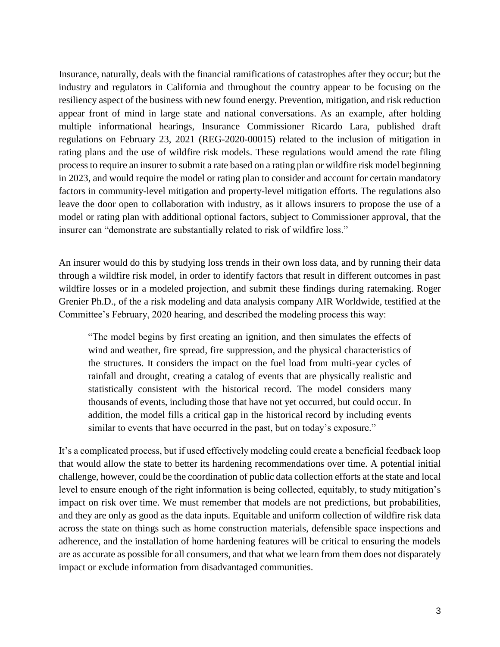Insurance, naturally, deals with the financial ramifications of catastrophes after they occur; but the industry and regulators in California and throughout the country appear to be focusing on the resiliency aspect of the business with new found energy. Prevention, mitigation, and risk reduction appear front of mind in large state and national conversations. As an example, after holding multiple informational hearings, Insurance Commissioner Ricardo Lara, published draft regulations on February 23, 2021 (REG-2020-00015) related to the inclusion of mitigation in rating plans and the use of wildfire risk models. These regulations would amend the rate filing process to require an insurer to submit a rate based on a rating plan or wildfire risk model beginning in 2023, and would require the model or rating plan to consider and account for certain mandatory factors in community-level mitigation and property-level mitigation efforts. The regulations also leave the door open to collaboration with industry, as it allows insurers to propose the use of a model or rating plan with additional optional factors, subject to Commissioner approval, that the insurer can "demonstrate are substantially related to risk of wildfire loss."

An insurer would do this by studying loss trends in their own loss data, and by running their data through a wildfire risk model, in order to identify factors that result in different outcomes in past wildfire losses or in a modeled projection, and submit these findings during ratemaking. Roger Grenier Ph.D., of the a risk modeling and data analysis company AIR Worldwide, testified at the Committee's February, 2020 hearing, and described the modeling process this way:

"The model begins by first creating an ignition, and then simulates the effects of wind and weather, fire spread, fire suppression, and the physical characteristics of the structures. It considers the impact on the fuel load from multi-year cycles of rainfall and drought, creating a catalog of events that are physically realistic and statistically consistent with the historical record. The model considers many thousands of events, including those that have not yet occurred, but could occur. In addition, the model fills a critical gap in the historical record by including events similar to events that have occurred in the past, but on today's exposure."

It's a complicated process, but if used effectively modeling could create a beneficial feedback loop that would allow the state to better its hardening recommendations over time. A potential initial challenge, however, could be the coordination of public data collection efforts at the state and local level to ensure enough of the right information is being collected, equitably, to study mitigation's impact on risk over time. We must remember that models are not predictions, but probabilities, and they are only as good as the data inputs. Equitable and uniform collection of wildfire risk data across the state on things such as home construction materials, defensible space inspections and adherence, and the installation of home hardening features will be critical to ensuring the models are as accurate as possible for all consumers, and that what we learn from them does not disparately impact or exclude information from disadvantaged communities.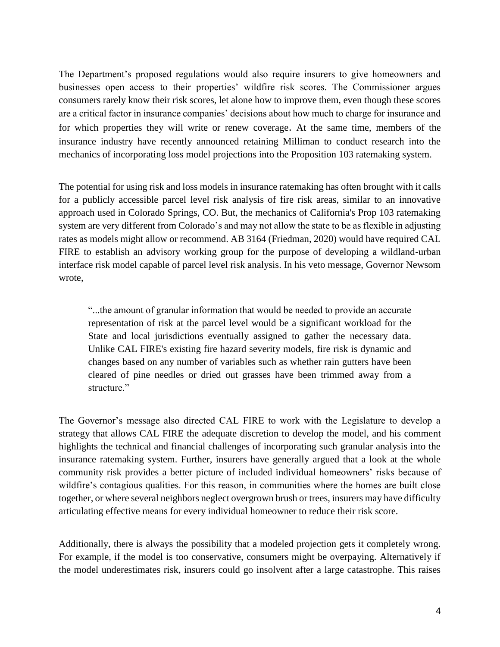The Department's proposed regulations would also require insurers to give homeowners and businesses open access to their properties' wildfire risk scores. The Commissioner argues consumers rarely know their risk scores, let alone how to improve them, even though these scores are a critical factor in insurance companies' decisions about how much to charge for insurance and for which properties they will write or renew coverage. At the same time, members of the insurance industry have recently announced retaining Milliman to conduct research into the mechanics of incorporating loss model projections into the Proposition 103 ratemaking system.

The potential for using risk and loss models in insurance ratemaking has often brought with it calls for a publicly accessible parcel level risk analysis of fire risk areas, similar to an innovative approach used in Colorado Springs, CO. But, the mechanics of California's Prop 103 ratemaking system are very different from Colorado's and may not allow the state to be as flexible in adjusting rates as models might allow or recommend. AB 3164 (Friedman, 2020) would have required CAL FIRE to establish an advisory working group for the purpose of developing a wildland-urban interface risk model capable of parcel level risk analysis. In his veto message, Governor Newsom wrote,

"...the amount of granular information that would be needed to provide an accurate representation of risk at the parcel level would be a significant workload for the State and local jurisdictions eventually assigned to gather the necessary data. Unlike CAL FIRE's existing fire hazard severity models, fire risk is dynamic and changes based on any number of variables such as whether rain gutters have been cleared of pine needles or dried out grasses have been trimmed away from a structure."

The Governor's message also directed CAL FIRE to work with the Legislature to develop a strategy that allows CAL FIRE the adequate discretion to develop the model, and his comment highlights the technical and financial challenges of incorporating such granular analysis into the insurance ratemaking system. Further, insurers have generally argued that a look at the whole community risk provides a better picture of included individual homeowners' risks because of wildfire's contagious qualities. For this reason, in communities where the homes are built close together, or where several neighbors neglect overgrown brush or trees, insurers may have difficulty articulating effective means for every individual homeowner to reduce their risk score.

Additionally, there is always the possibility that a modeled projection gets it completely wrong. For example, if the model is too conservative, consumers might be overpaying. Alternatively if the model underestimates risk, insurers could go insolvent after a large catastrophe. This raises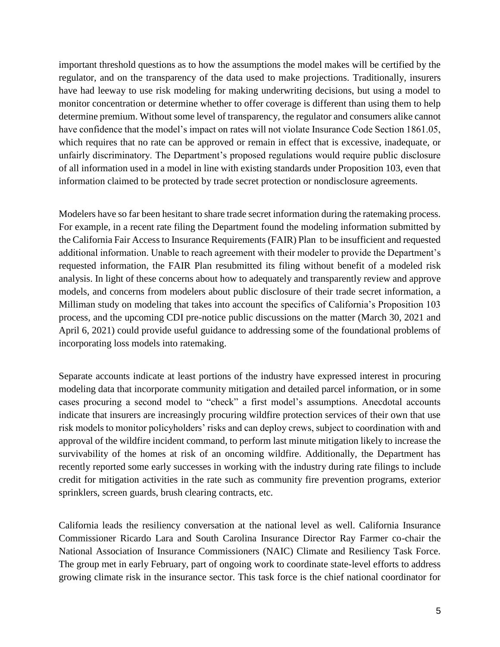important threshold questions as to how the assumptions the model makes will be certified by the regulator, and on the transparency of the data used to make projections. Traditionally, insurers have had leeway to use risk modeling for making underwriting decisions, but using a model to monitor concentration or determine whether to offer coverage is different than using them to help determine premium. Without some level of transparency, the regulator and consumers alike cannot have confidence that the model's impact on rates will not violate Insurance Code Section 1861.05, which requires that no rate can be approved or remain in effect that is excessive, inadequate, or unfairly discriminatory. The Department's proposed regulations would require public disclosure of all information used in a model in line with existing standards under Proposition 103, even that information claimed to be protected by trade secret protection or nondisclosure agreements.

Modelers have so far been hesitant to share trade secret information during the ratemaking process. For example, in a recent rate filing the Department found the modeling information submitted by the California Fair Access to Insurance Requirements (FAIR) Plan to be insufficient and requested additional information. Unable to reach agreement with their modeler to provide the Department's requested information, the FAIR Plan resubmitted its filing without benefit of a modeled risk analysis. In light of these concerns about how to adequately and transparently review and approve models, and concerns from modelers about public disclosure of their trade secret information, a Milliman study on modeling that takes into account the specifics of California's Proposition 103 process, and the upcoming CDI pre-notice public discussions on the matter (March 30, 2021 and April 6, 2021) could provide useful guidance to addressing some of the foundational problems of incorporating loss models into ratemaking.

Separate accounts indicate at least portions of the industry have expressed interest in procuring modeling data that incorporate community mitigation and detailed parcel information, or in some cases procuring a second model to "check" a first model's assumptions. Anecdotal accounts indicate that insurers are increasingly procuring wildfire protection services of their own that use risk models to monitor policyholders' risks and can deploy crews, subject to coordination with and approval of the wildfire incident command, to perform last minute mitigation likely to increase the survivability of the homes at risk of an oncoming wildfire. Additionally, the Department has recently reported some early successes in working with the industry during rate filings to include credit for mitigation activities in the rate such as community fire prevention programs, exterior sprinklers, screen guards, brush clearing contracts, etc.

California leads the resiliency conversation at the national level as well. California Insurance Commissioner Ricardo Lara and South Carolina Insurance Director Ray Farmer co-chair the National Association of Insurance Commissioners (NAIC) Climate and Resiliency Task Force. The group met in early February, part of ongoing work to coordinate state-level efforts to address growing climate risk in the insurance sector. This task force is the chief national coordinator for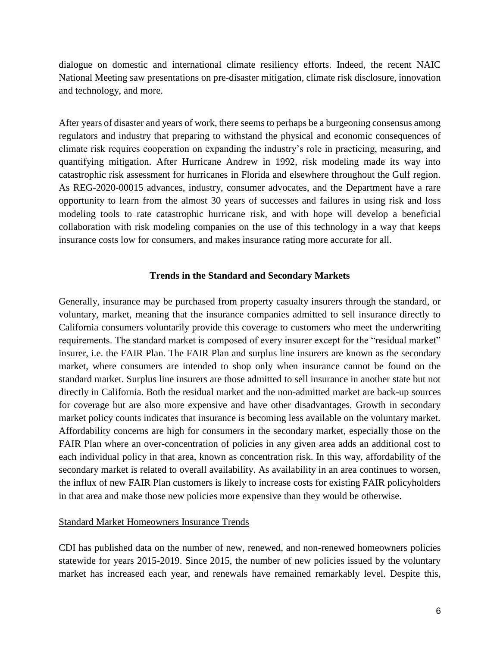dialogue on domestic and international climate resiliency efforts. Indeed, the recent NAIC National Meeting saw presentations on pre-disaster mitigation, climate risk disclosure, innovation and technology, and more.

After years of disaster and years of work, there seems to perhaps be a burgeoning consensus among regulators and industry that preparing to withstand the physical and economic consequences of climate risk requires cooperation on expanding the industry's role in practicing, measuring, and quantifying mitigation. After Hurricane Andrew in 1992, risk modeling made its way into catastrophic risk assessment for hurricanes in Florida and elsewhere throughout the Gulf region. As REG-2020-00015 advances, industry, consumer advocates, and the Department have a rare opportunity to learn from the almost 30 years of successes and failures in using risk and loss modeling tools to rate catastrophic hurricane risk, and with hope will develop a beneficial collaboration with risk modeling companies on the use of this technology in a way that keeps insurance costs low for consumers, and makes insurance rating more accurate for all.

#### **Trends in the Standard and Secondary Markets**

Generally, insurance may be purchased from property casualty insurers through the standard, or voluntary, market, meaning that the insurance companies admitted to sell insurance directly to California consumers voluntarily provide this coverage to customers who meet the underwriting requirements. The standard market is composed of every insurer except for the "residual market" insurer, i.e. the FAIR Plan. The FAIR Plan and surplus line insurers are known as the secondary market, where consumers are intended to shop only when insurance cannot be found on the standard market. Surplus line insurers are those admitted to sell insurance in another state but not directly in California. Both the residual market and the non-admitted market are back-up sources for coverage but are also more expensive and have other disadvantages. Growth in secondary market policy counts indicates that insurance is becoming less available on the voluntary market. Affordability concerns are high for consumers in the secondary market, especially those on the FAIR Plan where an over-concentration of policies in any given area adds an additional cost to each individual policy in that area, known as concentration risk. In this way, affordability of the secondary market is related to overall availability. As availability in an area continues to worsen, the influx of new FAIR Plan customers is likely to increase costs for existing FAIR policyholders in that area and make those new policies more expensive than they would be otherwise.

#### Standard Market Homeowners Insurance Trends

CDI has published data on the number of new, renewed, and non-renewed homeowners policies statewide for years 2015-2019. Since 2015, the number of new policies issued by the voluntary market has increased each year, and renewals have remained remarkably level. Despite this,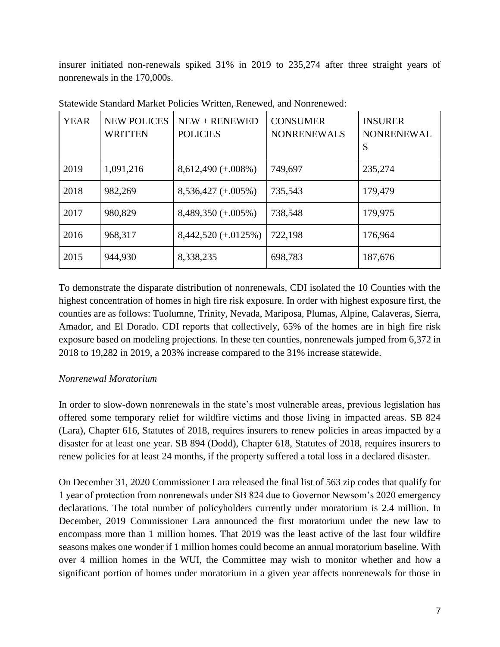insurer initiated non-renewals spiked 31% in 2019 to 235,274 after three straight years of nonrenewals in the 170,000s.

| <b>YEAR</b> | <b>NEW POLICES</b><br><b>WRITTEN</b> | $NEW + RENEWED$<br><b>POLICIES</b> | <b>CONSUMER</b><br><b>NONRENEWALS</b> | <b>INSURER</b><br><b>NONRENEWAL</b><br>S |
|-------------|--------------------------------------|------------------------------------|---------------------------------------|------------------------------------------|
| 2019        | 1,091,216                            | $8,612,490 (+.008\%)$              | 749,697                               | 235,274                                  |
| 2018        | 982,269                              | $8,536,427 (+.005\%)$              | 735,543                               | 179,479                                  |
| 2017        | 980,829                              | $8,489,350 (+.005%)$               | 738,548                               | 179,975                                  |
| 2016        | 968,317                              | $8,442,520 (+.0125%)$              | 722,198                               | 176,964                                  |
| 2015        | 944,930                              | 8,338,235                          | 698,783                               | 187,676                                  |

Statewide Standard Market Policies Written, Renewed, and Nonrenewed:

To demonstrate the disparate distribution of nonrenewals, CDI isolated the 10 Counties with the highest concentration of homes in high fire risk exposure. In order with highest exposure first, the counties are as follows: Tuolumne, Trinity, Nevada, Mariposa, Plumas, Alpine, Calaveras, Sierra, Amador, and El Dorado. CDI reports that collectively, 65% of the homes are in high fire risk exposure based on modeling projections. In these ten counties, nonrenewals jumped from 6,372 in 2018 to 19,282 in 2019, a 203% increase compared to the 31% increase statewide.

## *Nonrenewal Moratorium*

In order to slow-down nonrenewals in the state's most vulnerable areas, previous legislation has offered some temporary relief for wildfire victims and those living in impacted areas. SB 824 (Lara), Chapter 616, Statutes of 2018, requires insurers to renew policies in areas impacted by a disaster for at least one year. SB 894 (Dodd), Chapter 618, Statutes of 2018, requires insurers to renew policies for at least 24 months, if the property suffered a total loss in a declared disaster.

On December 31, 2020 Commissioner Lara released the final list of 563 zip codes that qualify for 1 year of protection from nonrenewals under SB 824 due to Governor Newsom's 2020 emergency declarations. The total number of policyholders currently under moratorium is 2.4 million. In December, 2019 Commissioner Lara announced the first moratorium under the new law to encompass more than 1 million homes. That 2019 was the least active of the last four wildfire seasons makes one wonder if 1 million homes could become an annual moratorium baseline. With over 4 million homes in the WUI, the Committee may wish to monitor whether and how a significant portion of homes under moratorium in a given year affects nonrenewals for those in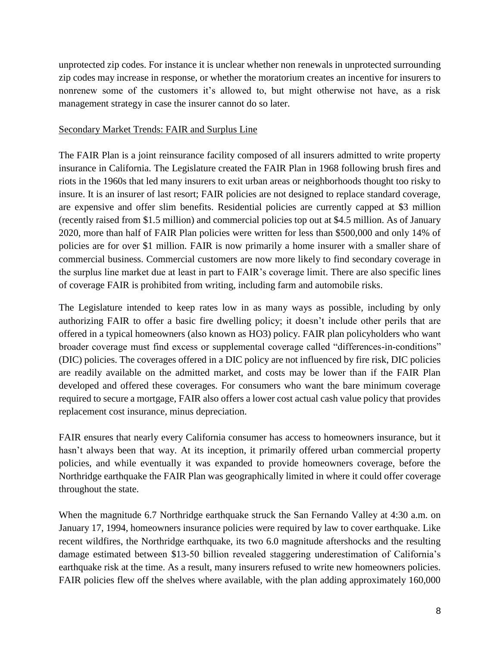unprotected zip codes. For instance it is unclear whether non renewals in unprotected surrounding zip codes may increase in response, or whether the moratorium creates an incentive for insurers to nonrenew some of the customers it's allowed to, but might otherwise not have, as a risk management strategy in case the insurer cannot do so later.

### Secondary Market Trends: FAIR and Surplus Line

The FAIR Plan is a joint reinsurance facility composed of all insurers admitted to write property insurance in California. The Legislature created the FAIR Plan in 1968 following brush fires and riots in the 1960s that led many insurers to exit urban areas or neighborhoods thought too risky to insure. It is an insurer of last resort; FAIR policies are not designed to replace standard coverage, are expensive and offer slim benefits. Residential policies are currently capped at \$3 million (recently raised from \$1.5 million) and commercial policies top out at \$4.5 million. As of January 2020, more than half of FAIR Plan policies were written for less than \$500,000 and only 14% of policies are for over \$1 million. FAIR is now primarily a home insurer with a smaller share of commercial business. Commercial customers are now more likely to find secondary coverage in the surplus line market due at least in part to FAIR's coverage limit. There are also specific lines of coverage FAIR is prohibited from writing, including farm and automobile risks.

The Legislature intended to keep rates low in as many ways as possible, including by only authorizing FAIR to offer a basic fire dwelling policy; it doesn't include other perils that are offered in a typical homeowners (also known as HO3) policy. FAIR plan policyholders who want broader coverage must find excess or supplemental coverage called "differences-in-conditions" (DIC) policies. The coverages offered in a DIC policy are not influenced by fire risk, DIC policies are readily available on the admitted market, and costs may be lower than if the FAIR Plan developed and offered these coverages. For consumers who want the bare minimum coverage required to secure a mortgage, FAIR also offers a lower cost actual cash value policy that provides replacement cost insurance, minus depreciation.

FAIR ensures that nearly every California consumer has access to homeowners insurance, but it hasn't always been that way. At its inception, it primarily offered urban commercial property policies, and while eventually it was expanded to provide homeowners coverage, before the Northridge earthquake the FAIR Plan was geographically limited in where it could offer coverage throughout the state.

When the magnitude 6.7 Northridge earthquake struck the San Fernando Valley at 4:30 a.m. on January 17, 1994, homeowners insurance policies were required by law to cover earthquake. Like recent wildfires, the Northridge earthquake, its two 6.0 magnitude aftershocks and the resulting damage estimated between \$13-50 billion revealed staggering underestimation of California's earthquake risk at the time. As a result, many insurers refused to write new homeowners policies. FAIR policies flew off the shelves where available, with the plan adding approximately 160,000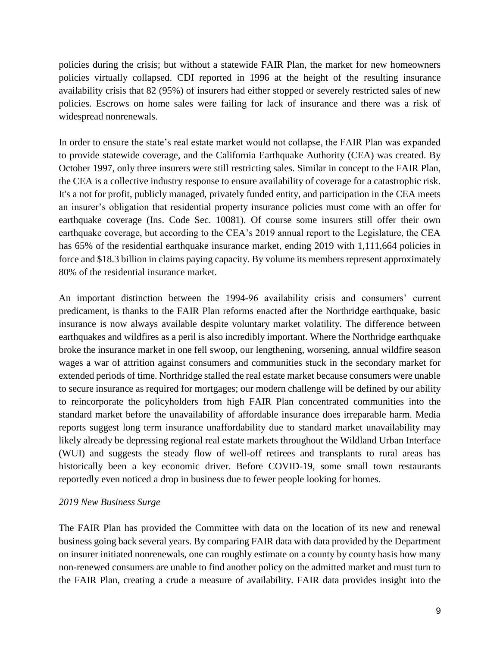policies during the crisis; but without a statewide FAIR Plan, the market for new homeowners policies virtually collapsed. CDI reported in 1996 at the height of the resulting insurance availability crisis that 82 (95%) of insurers had either stopped or severely restricted sales of new policies. Escrows on home sales were failing for lack of insurance and there was a risk of widespread nonrenewals.

In order to ensure the state's real estate market would not collapse, the FAIR Plan was expanded to provide statewide coverage, and the California Earthquake Authority (CEA) was created. By October 1997, only three insurers were still restricting sales. Similar in concept to the FAIR Plan, the CEA is a collective industry response to ensure availability of coverage for a catastrophic risk. It's a not for profit, publicly managed, privately funded entity, and participation in the CEA meets an insurer's obligation that residential property insurance policies must come with an offer for earthquake coverage (Ins. Code Sec. 10081). Of course some insurers still offer their own earthquake coverage, but according to the CEA's 2019 annual report to the Legislature, the CEA has 65% of the residential earthquake insurance market, ending 2019 with 1,111,664 policies in force and \$18.3 billion in claims paying capacity. By volume its members represent approximately 80% of the residential insurance market.

An important distinction between the 1994-96 availability crisis and consumers' current predicament, is thanks to the FAIR Plan reforms enacted after the Northridge earthquake, basic insurance is now always available despite voluntary market volatility. The difference between earthquakes and wildfires as a peril is also incredibly important. Where the Northridge earthquake broke the insurance market in one fell swoop, our lengthening, worsening, annual wildfire season wages a war of attrition against consumers and communities stuck in the secondary market for extended periods of time. Northridge stalled the real estate market because consumers were unable to secure insurance as required for mortgages; our modern challenge will be defined by our ability to reincorporate the policyholders from high FAIR Plan concentrated communities into the standard market before the unavailability of affordable insurance does irreparable harm. Media reports suggest long term insurance unaffordability due to standard market unavailability may likely already be depressing regional real estate markets throughout the Wildland Urban Interface (WUI) and suggests the steady flow of well-off retirees and transplants to rural areas has historically been a key economic driver. Before COVID-19, some small town restaurants reportedly even noticed a drop in business due to fewer people looking for homes.

### *2019 New Business Surge*

The FAIR Plan has provided the Committee with data on the location of its new and renewal business going back several years. By comparing FAIR data with data provided by the Department on insurer initiated nonrenewals, one can roughly estimate on a county by county basis how many non-renewed consumers are unable to find another policy on the admitted market and must turn to the FAIR Plan, creating a crude a measure of availability. FAIR data provides insight into the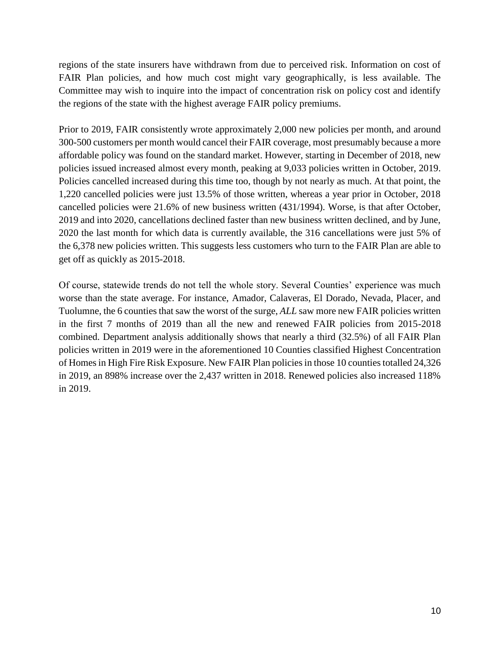regions of the state insurers have withdrawn from due to perceived risk. Information on cost of FAIR Plan policies, and how much cost might vary geographically, is less available. The Committee may wish to inquire into the impact of concentration risk on policy cost and identify the regions of the state with the highest average FAIR policy premiums.

Prior to 2019, FAIR consistently wrote approximately 2,000 new policies per month, and around 300-500 customers per month would cancel their FAIR coverage, most presumably because a more affordable policy was found on the standard market. However, starting in December of 2018, new policies issued increased almost every month, peaking at 9,033 policies written in October, 2019. Policies cancelled increased during this time too, though by not nearly as much. At that point, the 1,220 cancelled policies were just 13.5% of those written, whereas a year prior in October, 2018 cancelled policies were 21.6% of new business written (431/1994). Worse, is that after October, 2019 and into 2020, cancellations declined faster than new business written declined, and by June, 2020 the last month for which data is currently available, the 316 cancellations were just 5% of the 6,378 new policies written. This suggests less customers who turn to the FAIR Plan are able to get off as quickly as 2015-2018.

Of course, statewide trends do not tell the whole story. Several Counties' experience was much worse than the state average. For instance, Amador, Calaveras, El Dorado, Nevada, Placer, and Tuolumne, the 6 counties that saw the worst of the surge, *ALL* saw more new FAIR policies written in the first 7 months of 2019 than all the new and renewed FAIR policies from 2015-2018 combined. Department analysis additionally shows that nearly a third (32.5%) of all FAIR Plan policies written in 2019 were in the aforementioned 10 Counties classified Highest Concentration of Homes in High Fire Risk Exposure. New FAIR Plan policies in those 10 counties totalled 24,326 in 2019, an 898% increase over the 2,437 written in 2018. Renewed policies also increased 118% in 2019.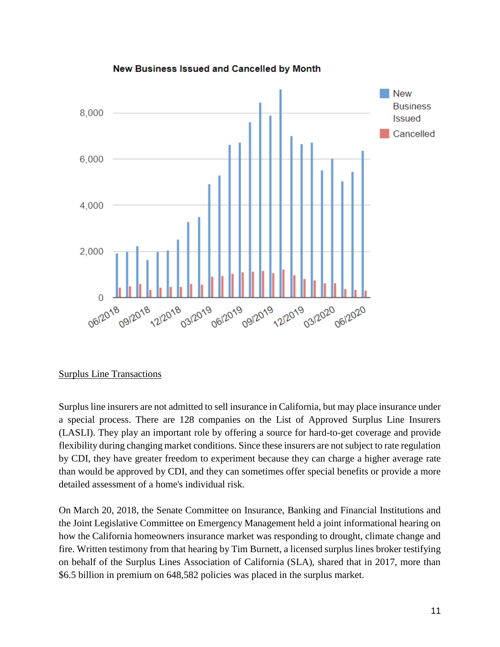

### **New Business Issued and Cancelled by Month**

### Surplus Line Transactions

Surplus line insurers are not admitted to sell insurance in California, but may place insurance under a special process. There are 128 companies on the List of Approved Surplus Line Insurers (LASLI). They play an important role by offering a source for hard-to-get coverage and provide flexibility during changing market conditions. Since these insurers are not subject to rate regulation by CDI, they have greater freedom to experiment because they can charge a higher average rate than would be approved by CDI, and they can sometimes offer special benefits or provide a more detailed assessment of a home's individual risk.

On March 20, 2018, the Senate Committee on Insurance, Banking and Financial Institutions and the Joint Legislative Committee on Emergency Management held a joint informational hearing on how the California homeowners insurance market was responding to drought, climate change and fire. Written testimony from that hearing by Tim Burnett, a licensed surplus lines broker testifying on behalf of the Surplus Lines Association of California (SLA), shared that in 2017, more than \$6.5 billion in premium on 648,582 policies was placed in the surplus market.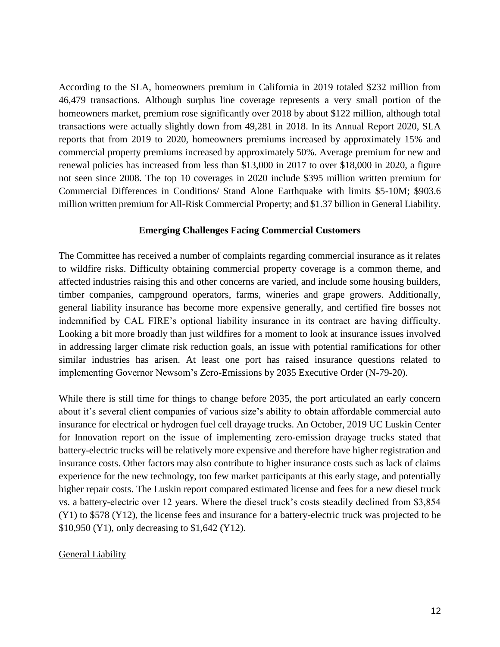According to the SLA, homeowners premium in California in 2019 totaled \$232 million from 46,479 transactions. Although surplus line coverage represents a very small portion of the homeowners market, premium rose significantly over 2018 by about \$122 million, although total transactions were actually slightly down from 49,281 in 2018. In its Annual Report 2020, SLA reports that from 2019 to 2020, homeowners premiums increased by approximately 15% and commercial property premiums increased by approximately 50%. Average premium for new and renewal policies has increased from less than \$13,000 in 2017 to over \$18,000 in 2020, a figure not seen since 2008. The top 10 coverages in 2020 include \$395 million written premium for Commercial Differences in Conditions/ Stand Alone Earthquake with limits \$5-10M; \$903.6 million written premium for All-Risk Commercial Property; and \$1.37 billion in General Liability.

#### **Emerging Challenges Facing Commercial Customers**

The Committee has received a number of complaints regarding commercial insurance as it relates to wildfire risks. Difficulty obtaining commercial property coverage is a common theme, and affected industries raising this and other concerns are varied, and include some housing builders, timber companies, campground operators, farms, wineries and grape growers. Additionally, general liability insurance has become more expensive generally, and certified fire bosses not indemnified by CAL FIRE's optional liability insurance in its contract are having difficulty. Looking a bit more broadly than just wildfires for a moment to look at insurance issues involved in addressing larger climate risk reduction goals, an issue with potential ramifications for other similar industries has arisen. At least one port has raised insurance questions related to implementing Governor Newsom's Zero-Emissions by 2035 Executive Order (N-79-20).

While there is still time for things to change before 2035, the port articulated an early concern about it's several client companies of various size's ability to obtain affordable commercial auto insurance for electrical or hydrogen fuel cell drayage trucks. An October, 2019 UC Luskin Center for Innovation report on the issue of implementing zero-emission drayage trucks stated that battery-electric trucks will be relatively more expensive and therefore have higher registration and insurance costs. Other factors may also contribute to higher insurance costs such as lack of claims experience for the new technology, too few market participants at this early stage, and potentially higher repair costs. The Luskin report compared estimated license and fees for a new diesel truck vs. a battery-electric over 12 years. Where the diesel truck's costs steadily declined from \$3,854 (Y1) to \$578 (Y12), the license fees and insurance for a battery-electric truck was projected to be \$10,950 (Y1), only decreasing to \$1,642 (Y12).

### **General Liability**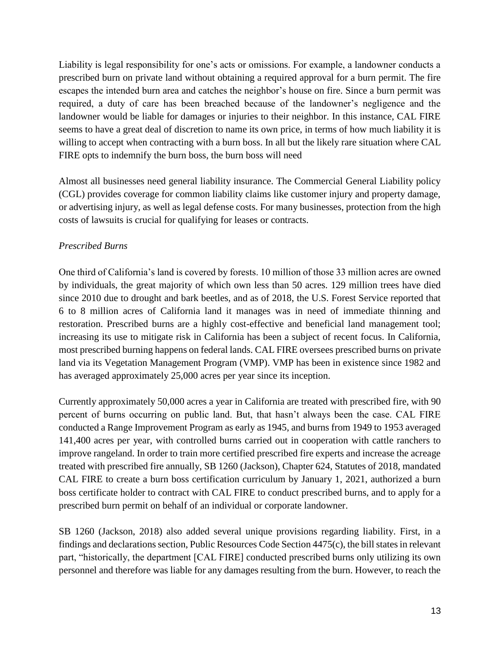Liability is legal responsibility for one's acts or omissions. For example, a landowner conducts a prescribed burn on private land without obtaining a required approval for a burn permit. The fire escapes the intended burn area and catches the neighbor's house on fire. Since a burn permit was required, a duty of care has been breached because of the landowner's negligence and the landowner would be liable for damages or injuries to their neighbor. In this instance, CAL FIRE seems to have a great deal of discretion to name its own price, in terms of how much liability it is willing to accept when contracting with a burn boss. In all but the likely rare situation where CAL FIRE opts to indemnify the burn boss, the burn boss will need

Almost all businesses need general liability insurance. The Commercial General Liability policy (CGL) provides coverage for common liability claims like customer injury and property damage, or advertising injury, as well as legal defense costs. For many businesses, protection from the high costs of lawsuits is crucial for qualifying for leases or contracts.

## *Prescribed Burns*

One third of California's land is covered by forests. 10 million of those 33 million acres are owned by individuals, the great majority of which own less than 50 acres. 129 million trees have died since 2010 due to drought and bark beetles, and as of 2018, the U.S. Forest Service reported that 6 to 8 million acres of California land it manages was in need of immediate thinning and restoration. Prescribed burns are a highly cost-effective and beneficial land management tool; increasing its use to mitigate risk in California has been a subject of recent focus. In California, most prescribed burning happens on federal lands. CAL FIRE oversees prescribed burns on private land via its Vegetation Management Program (VMP). VMP has been in existence since 1982 and has averaged approximately 25,000 acres per year since its inception.

Currently approximately 50,000 acres a year in California are treated with prescribed fire, with 90 percent of burns occurring on public land. But, that hasn't always been the case. CAL FIRE conducted a Range Improvement Program as early as 1945, and burns from 1949 to 1953 averaged 141,400 acres per year, with controlled burns carried out in cooperation with cattle ranchers to improve rangeland. In order to train more certified prescribed fire experts and increase the acreage treated with prescribed fire annually, SB 1260 (Jackson), Chapter 624, Statutes of 2018, mandated CAL FIRE to create a burn boss certification curriculum by January 1, 2021, authorized a burn boss certificate holder to contract with CAL FIRE to conduct prescribed burns, and to apply for a prescribed burn permit on behalf of an individual or corporate landowner.

SB 1260 (Jackson, 2018) also added several unique provisions regarding liability. First, in a findings and declarations section, Public Resources Code Section 4475(c), the bill states in relevant part, "historically, the department [CAL FIRE] conducted prescribed burns only utilizing its own personnel and therefore was liable for any damages resulting from the burn. However, to reach the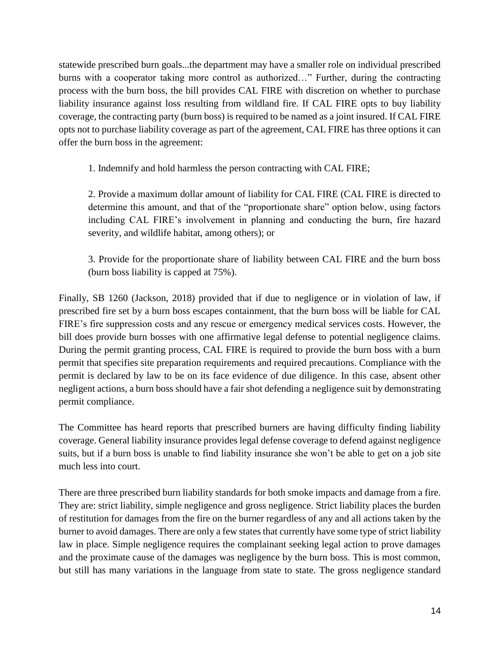statewide prescribed burn goals...the department may have a smaller role on individual prescribed burns with a cooperator taking more control as authorized…" Further, during the contracting process with the burn boss, the bill provides CAL FIRE with discretion on whether to purchase liability insurance against loss resulting from wildland fire. If CAL FIRE opts to buy liability coverage, the contracting party (burn boss) is required to be named as a joint insured. If CAL FIRE opts not to purchase liability coverage as part of the agreement, CAL FIRE has three options it can offer the burn boss in the agreement:

1. Indemnify and hold harmless the person contracting with CAL FIRE;

2. Provide a maximum dollar amount of liability for CAL FIRE (CAL FIRE is directed to determine this amount, and that of the "proportionate share" option below, using factors including CAL FIRE's involvement in planning and conducting the burn, fire hazard severity, and wildlife habitat, among others); or

3. Provide for the proportionate share of liability between CAL FIRE and the burn boss (burn boss liability is capped at 75%).

Finally, SB 1260 (Jackson, 2018) provided that if due to negligence or in violation of law, if prescribed fire set by a burn boss escapes containment, that the burn boss will be liable for CAL FIRE's fire suppression costs and any rescue or emergency medical services costs. However, the bill does provide burn bosses with one affirmative legal defense to potential negligence claims. During the permit granting process, CAL FIRE is required to provide the burn boss with a burn permit that specifies site preparation requirements and required precautions. Compliance with the permit is declared by law to be on its face evidence of due diligence. In this case, absent other negligent actions, a burn boss should have a fair shot defending a negligence suit by demonstrating permit compliance.

The Committee has heard reports that prescribed burners are having difficulty finding liability coverage. General liability insurance provides legal defense coverage to defend against negligence suits, but if a burn boss is unable to find liability insurance she won't be able to get on a job site much less into court.

There are three prescribed burn liability standards for both smoke impacts and damage from a fire. They are: strict liability, simple negligence and gross negligence. Strict liability places the burden of restitution for damages from the fire on the burner regardless of any and all actions taken by the burner to avoid damages. There are only a few states that currently have some type of strict liability law in place. Simple negligence requires the complainant seeking legal action to prove damages and the proximate cause of the damages was negligence by the burn boss. This is most common, but still has many variations in the language from state to state. The gross negligence standard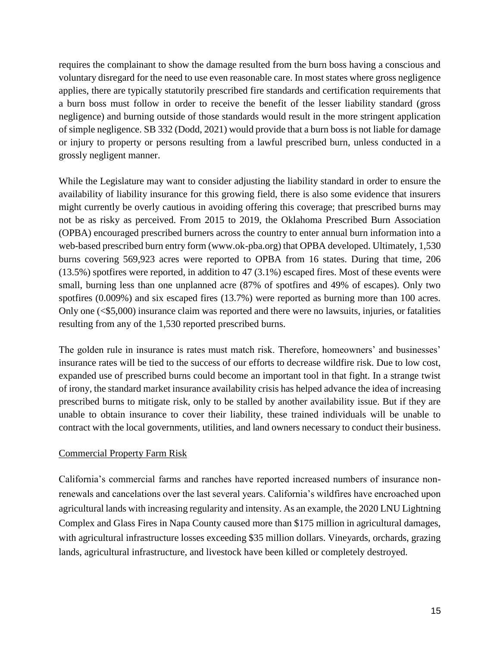requires the complainant to show the damage resulted from the burn boss having a conscious and voluntary disregard for the need to use even reasonable care. In most states where gross negligence applies, there are typically statutorily prescribed fire standards and certification requirements that a burn boss must follow in order to receive the benefit of the lesser liability standard (gross negligence) and burning outside of those standards would result in the more stringent application of simple negligence. SB 332 (Dodd, 2021) would provide that a burn boss is not liable for damage or injury to property or persons resulting from a lawful prescribed burn, unless conducted in a grossly negligent manner.

While the Legislature may want to consider adjusting the liability standard in order to ensure the availability of liability insurance for this growing field, there is also some evidence that insurers might currently be overly cautious in avoiding offering this coverage; that prescribed burns may not be as risky as perceived. From 2015 to 2019, the Oklahoma Prescribed Burn Association (OPBA) encouraged prescribed burners across the country to enter annual burn information into a web-based prescribed burn entry form [\(www.ok-pba.org\)](https://www.ok-pba.org/) that OPBA developed. Ultimately, 1,530 burns covering 569,923 acres were reported to OPBA from 16 states. During that time, 206 (13.5%) spotfires were reported, in addition to 47 (3.1%) escaped fires. Most of these events were small, burning less than one unplanned acre (87% of spotfires and 49% of escapes). Only two spotfires (0.009%) and six escaped fires (13.7%) were reported as burning more than 100 acres. Only one (<\$5,000) insurance claim was reported and there were no lawsuits, injuries, or fatalities resulting from any of the 1,530 reported prescribed burns.

The golden rule in insurance is rates must match risk. Therefore, homeowners' and businesses' insurance rates will be tied to the success of our efforts to decrease wildfire risk. Due to low cost, expanded use of prescribed burns could become an important tool in that fight. In a strange twist of irony, the standard market insurance availability crisis has helped advance the idea of increasing prescribed burns to mitigate risk, only to be stalled by another availability issue. But if they are unable to obtain insurance to cover their liability, these trained individuals will be unable to contract with the local governments, utilities, and land owners necessary to conduct their business.

## Commercial Property Farm Risk

California's commercial farms and ranches have reported increased numbers of insurance nonrenewals and cancelations over the last several years. California's wildfires have encroached upon agricultural lands with increasing regularity and intensity. As an example, the 2020 LNU Lightning Complex and Glass Fires in Napa County caused more than \$175 million in agricultural damages, with agricultural infrastructure losses exceeding \$35 million dollars. Vineyards, orchards, grazing lands, agricultural infrastructure, and livestock have been killed or completely destroyed.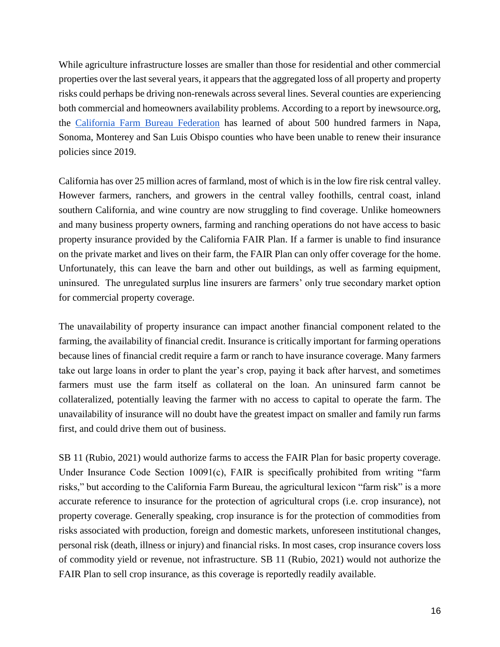While agriculture infrastructure losses are smaller than those for residential and other commercial properties over the last several years, it appears that the aggregated loss of all property and property risks could perhaps be driving non-renewals across several lines. Several counties are experiencing both commercial and homeowners availability problems. According to a report by inewsource.org, the [California Farm Bureau Federation](https://www.cfbf.com/) has learned of about 500 hundred farmers in Napa, Sonoma, Monterey and San Luis Obispo counties who have been unable to renew their insurance policies since 2019.

California has over 25 million acres of farmland, most of which is in the low fire risk central valley. However farmers, ranchers, and growers in the central valley foothills, central coast, inland southern California, and wine country are now struggling to find coverage. Unlike homeowners and many business property owners, farming and ranching operations do not have access to basic property insurance provided by the California FAIR Plan. If a farmer is unable to find insurance on the private market and lives on their farm, the FAIR Plan can only offer coverage for the home. Unfortunately, this can leave the barn and other out buildings, as well as farming equipment, uninsured. The unregulated surplus line insurers are farmers' only true secondary market option for commercial property coverage.

The unavailability of property insurance can impact another financial component related to the farming, the availability of financial credit. Insurance is critically important for farming operations because lines of financial credit require a farm or ranch to have insurance coverage. Many farmers take out large loans in order to plant the year's crop, paying it back after harvest, and sometimes farmers must use the farm itself as collateral on the loan. An uninsured farm cannot be collateralized, potentially leaving the farmer with no access to capital to operate the farm. The unavailability of insurance will no doubt have the greatest impact on smaller and family run farms first, and could drive them out of business.

SB 11 (Rubio, 2021) would authorize farms to access the FAIR Plan for basic property coverage. Under Insurance Code Section  $10091(c)$ , FAIR is specifically prohibited from writing "farm" risks," but according to the California Farm Bureau, the agricultural lexicon "farm risk" is a more accurate reference to insurance for the protection of agricultural crops (i.e. crop insurance), not property coverage. Generally speaking, crop insurance is for the protection of commodities from risks associated with production, foreign and domestic markets, unforeseen institutional changes, personal risk (death, illness or injury) and financial risks. In most cases, crop insurance covers loss of commodity yield or revenue, not infrastructure. SB 11 (Rubio, 2021) would not authorize the FAIR Plan to sell crop insurance, as this coverage is reportedly readily available.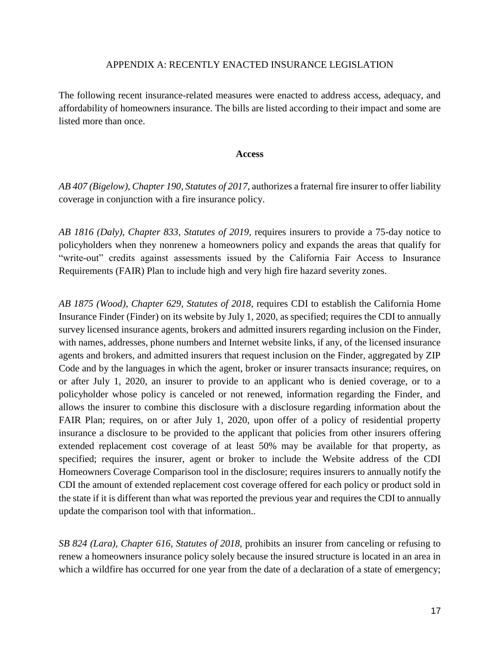#### APPENDIX A: RECENTLY ENACTED INSURANCE LEGISLATION

The following recent insurance-related measures were enacted to address access, adequacy, and affordability of homeowners insurance. The bills are listed according to their impact and some are listed more than once.

#### **Access**

*AB 407 (Bigelow), Chapter 190, Statutes of 2017*, authorizes a fraternal fire insurer to offer liability coverage in conjunction with a fire insurance policy.

*AB 1816 (Daly), Chapter 833, Statutes of 2019,* requires insurers to provide a 75-day notice to policyholders when they nonrenew a homeowners policy and expands the areas that qualify for "write-out" credits against assessments issued by the California Fair Access to Insurance Requirements (FAIR) Plan to include high and very high fire hazard severity zones.

*AB 1875 (Wood), Chapter 629, Statutes of 2018,* requires CDI to establish the California Home Insurance Finder (Finder) on its website by July 1, 2020, as specified; requires the CDI to annually survey licensed insurance agents, brokers and admitted insurers regarding inclusion on the Finder, with names, addresses, phone numbers and Internet website links, if any, of the licensed insurance agents and brokers, and admitted insurers that request inclusion on the Finder, aggregated by ZIP Code and by the languages in which the agent, broker or insurer transacts insurance; requires, on or after July 1, 2020, an insurer to provide to an applicant who is denied coverage, or to a policyholder whose policy is canceled or not renewed, information regarding the Finder, and allows the insurer to combine this disclosure with a disclosure regarding information about the FAIR Plan; requires, on or after July 1, 2020, upon offer of a policy of residential property insurance a disclosure to be provided to the applicant that policies from other insurers offering extended replacement cost coverage of at least 50% may be available for that property, as specified; requires the insurer, agent or broker to include the Website address of the CDI Homeowners Coverage Comparison tool in the disclosure; requires insurers to annually notify the CDI the amount of extended replacement cost coverage offered for each policy or product sold in the state if it is different than what was reported the previous year and requires the CDI to annually update the comparison tool with that information..

*SB 824 (Lara), Chapter 616, Statutes of 2018,* prohibits an insurer from canceling or refusing to renew a homeowners insurance policy solely because the insured structure is located in an area in which a wildfire has occurred for one year from the date of a declaration of a state of emergency;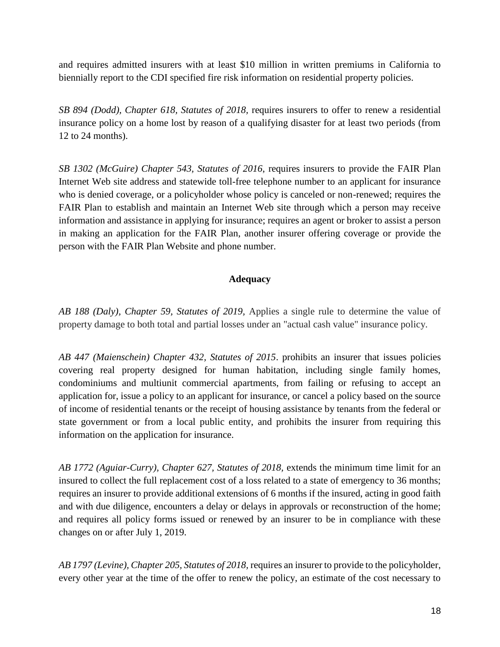and requires admitted insurers with at least \$10 million in written premiums in California to biennially report to the CDI specified fire risk information on residential property policies*.*

*SB 894 (Dodd), Chapter 618, Statutes of 2018,* requires insurers to offer to renew a residential insurance policy on a home lost by reason of a qualifying disaster for at least two periods (from 12 to 24 months).

*SB 1302 (McGuire) Chapter 543, Statutes of 2016*, requires insurers to provide the FAIR Plan Internet Web site address and statewide toll-free telephone number to an applicant for insurance who is denied coverage, or a policyholder whose policy is canceled or non-renewed; requires the FAIR Plan to establish and maintain an Internet Web site through which a person may receive information and assistance in applying for insurance; requires an agent or broker to assist a person in making an application for the FAIR Plan, another insurer offering coverage or provide the person with the FAIR Plan Website and phone number.

## **Adequacy**

*AB 188 (Daly), Chapter 59, Statutes of 2019,* Applies a single rule to determine the value of property damage to both total and partial losses under an "actual cash value" insurance policy.

*AB 447 (Maienschein) Chapter 432, Statutes of 2015*. prohibits an insurer that issues policies covering real property designed for human habitation, including single family homes, condominiums and multiunit commercial apartments, from failing or refusing to accept an application for, issue a policy to an applicant for insurance, or cancel a policy based on the source of income of residential tenants or the receipt of housing assistance by tenants from the federal or state government or from a local public entity, and prohibits the insurer from requiring this information on the application for insurance.

*AB 1772 (Aguiar-Curry), Chapter 627, Statutes of 2018, extends the minimum time limit for an* insured to collect the full replacement cost of a loss related to a state of emergency to 36 months; requires an insurer to provide additional extensions of 6 months if the insured, acting in good faith and with due diligence, encounters a delay or delays in approvals or reconstruction of the home; and requires all policy forms issued or renewed by an insurer to be in compliance with these changes on or after July 1, 2019.

*AB 1797 (Levine), Chapter 205, Statutes of 2018,* requires an insurer to provide to the policyholder, every other year at the time of the offer to renew the policy, an estimate of the cost necessary to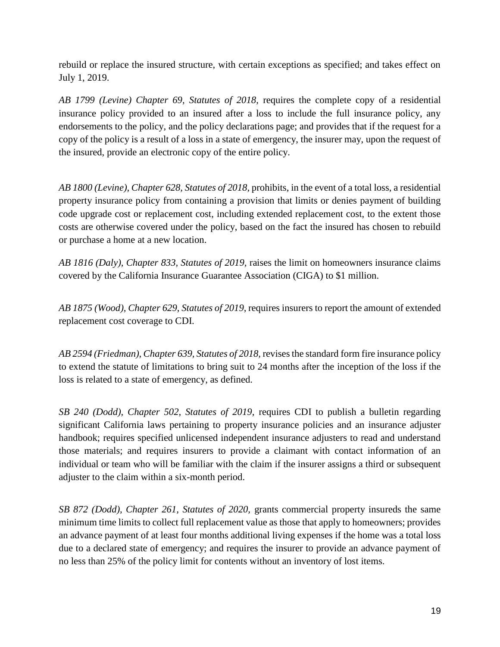rebuild or replace the insured structure, with certain exceptions as specified; and takes effect on July 1, 2019.

*AB 1799 (Levine) Chapter 69, Statutes of 2018*, requires the complete copy of a residential insurance policy provided to an insured after a loss to include the full insurance policy, any endorsements to the policy, and the policy declarations page; and provides that if the request for a copy of the policy is a result of a loss in a state of emergency, the insurer may, upon the request of the insured, provide an electronic copy of the entire policy.

*AB 1800 (Levine), Chapter 628, Statutes of 2018,* prohibits, in the event of a total loss, a residential property insurance policy from containing a provision that limits or denies payment of building code upgrade cost or replacement cost, including extended replacement cost, to the extent those costs are otherwise covered under the policy, based on the fact the insured has chosen to rebuild or purchase a home at a new location.

*AB 1816 (Daly), Chapter 833, Statutes of 2019,* raises the limit on homeowners insurance claims covered by the California Insurance Guarantee Association (CIGA) to \$1 million.

*AB 1875 (Wood), Chapter 629, Statutes of 2019,* requires insurers to report the amount of extended replacement cost coverage to CDI.

AB 2594 (Friedman), Chapter 639, Statutes of 2018, revises the standard form fire insurance policy to extend the statute of limitations to bring suit to 24 months after the inception of the loss if the loss is related to a state of emergency, as defined.

*SB 240 (Dodd), Chapter 502, Statutes of 2019,* requires CDI to publish a bulletin regarding significant California laws pertaining to property insurance policies and an insurance adjuster handbook; requires specified unlicensed independent insurance adjusters to read and understand those materials; and requires insurers to provide a claimant with contact information of an individual or team who will be familiar with the claim if the insurer assigns a third or subsequent adjuster to the claim within a six-month period.

*SB 872 (Dodd), Chapter 261, Statutes of 2020,* grants commercial property insureds the same minimum time limits to collect full replacement value as those that apply to homeowners; provides an advance payment of at least four months additional living expenses if the home was a total loss due to a declared state of emergency; and requires the insurer to provide an advance payment of no less than 25% of the policy limit for contents without an inventory of lost items.